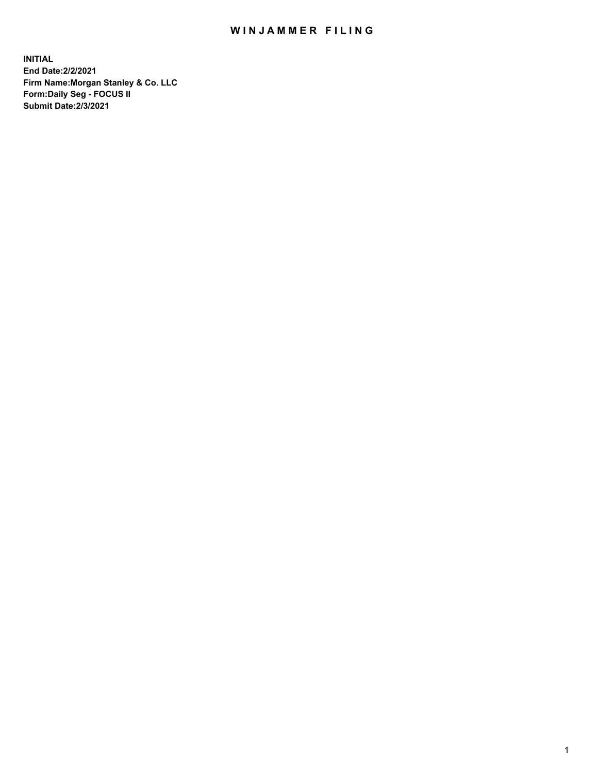## WIN JAMMER FILING

**INITIAL End Date:2/2/2021 Firm Name:Morgan Stanley & Co. LLC Form:Daily Seg - FOCUS II Submit Date:2/3/2021**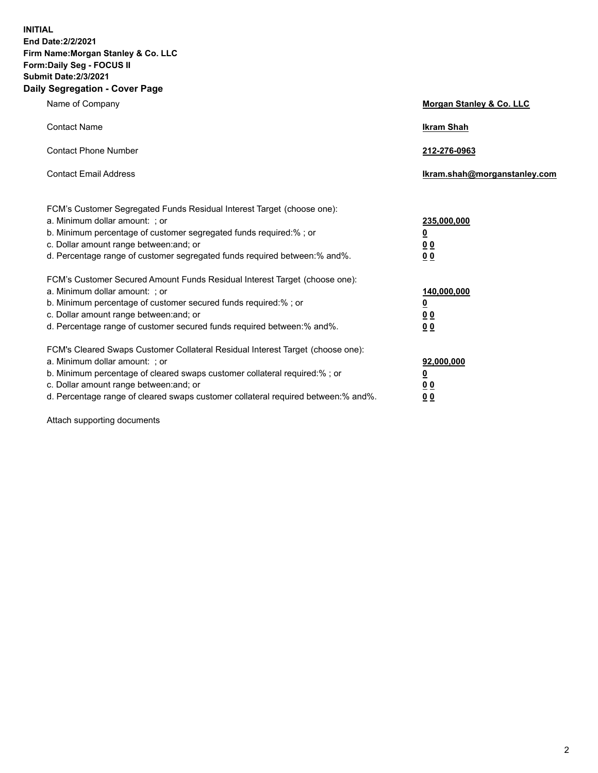**INITIAL End Date:2/2/2021 Firm Name:Morgan Stanley & Co. LLC Form:Daily Seg - FOCUS II Submit Date:2/3/2021 Daily Segregation - Cover Page**

| Name of Company                                                                                                                                                                                                                                                                                                                | Morgan Stanley & Co. LLC                                    |
|--------------------------------------------------------------------------------------------------------------------------------------------------------------------------------------------------------------------------------------------------------------------------------------------------------------------------------|-------------------------------------------------------------|
| <b>Contact Name</b>                                                                                                                                                                                                                                                                                                            | <b>Ikram Shah</b>                                           |
| <b>Contact Phone Number</b>                                                                                                                                                                                                                                                                                                    | 212-276-0963                                                |
| <b>Contact Email Address</b>                                                                                                                                                                                                                                                                                                   | Ikram.shah@morganstanley.com                                |
| FCM's Customer Segregated Funds Residual Interest Target (choose one):<br>a. Minimum dollar amount: ; or<br>b. Minimum percentage of customer segregated funds required:% ; or<br>c. Dollar amount range between: and; or<br>d. Percentage range of customer segregated funds required between:% and%.                         | 235,000,000<br><u>0</u><br>0 <sup>0</sup><br>00             |
| FCM's Customer Secured Amount Funds Residual Interest Target (choose one):<br>a. Minimum dollar amount: ; or<br>b. Minimum percentage of customer secured funds required:% ; or<br>c. Dollar amount range between: and; or<br>d. Percentage range of customer secured funds required between:% and%.                           | 140,000,000<br><u>0</u><br>0 <sub>0</sub><br>0 <sub>0</sub> |
| FCM's Cleared Swaps Customer Collateral Residual Interest Target (choose one):<br>a. Minimum dollar amount: ; or<br>b. Minimum percentage of cleared swaps customer collateral required:% ; or<br>c. Dollar amount range between: and; or<br>d. Percentage range of cleared swaps customer collateral required between:% and%. | 92,000,000<br><u>0</u><br>0 Q<br>0 <sub>0</sub>             |

Attach supporting documents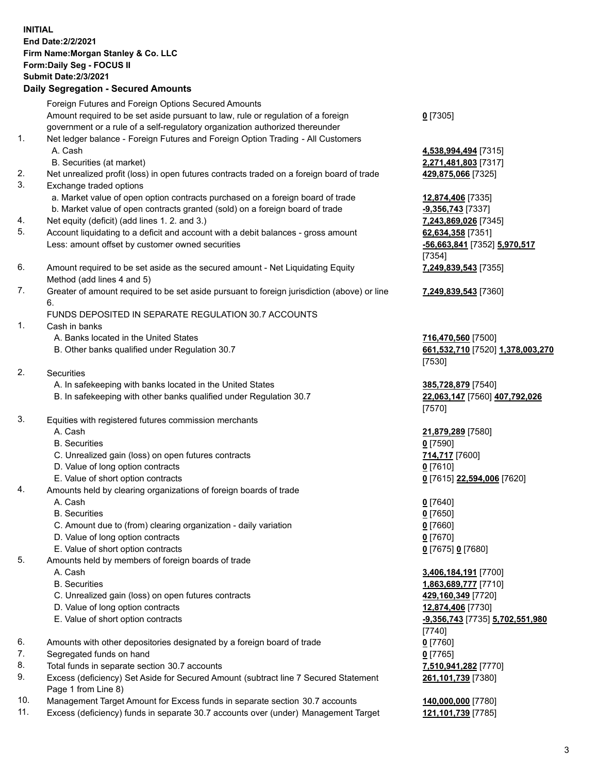|          | <b>INITIAL</b><br>End Date: 2/2/2021<br>Firm Name: Morgan Stanley & Co. LLC<br>Form: Daily Seg - FOCUS II<br><b>Submit Date:2/3/2021</b><br><b>Daily Segregation - Secured Amounts</b> |                                  |
|----------|----------------------------------------------------------------------------------------------------------------------------------------------------------------------------------------|----------------------------------|
|          | Foreign Futures and Foreign Options Secured Amounts                                                                                                                                    |                                  |
|          | Amount required to be set aside pursuant to law, rule or regulation of a foreign                                                                                                       | $Q$ [7305]                       |
|          | government or a rule of a self-regulatory organization authorized thereunder                                                                                                           |                                  |
| 1.       | Net ledger balance - Foreign Futures and Foreign Option Trading - All Customers                                                                                                        |                                  |
|          | A. Cash                                                                                                                                                                                | 4,538,994,494 [7315]             |
|          | B. Securities (at market)                                                                                                                                                              | 2,271,481,803 [7317]             |
| 2.       | Net unrealized profit (loss) in open futures contracts traded on a foreign board of trade                                                                                              | 429,875,066 [7325]               |
| 3.       | Exchange traded options                                                                                                                                                                |                                  |
|          | a. Market value of open option contracts purchased on a foreign board of trade                                                                                                         | 12,874,406 [7335]                |
|          | b. Market value of open contracts granted (sold) on a foreign board of trade                                                                                                           | -9,356,743 [7337]                |
| 4.       | Net equity (deficit) (add lines 1.2. and 3.)                                                                                                                                           | 7,243,869,026 [7345]             |
| 5.       | Account liquidating to a deficit and account with a debit balances - gross amount                                                                                                      | 62,634,358 [7351]                |
|          | Less: amount offset by customer owned securities                                                                                                                                       | -56,663,841 [7352] 5,970,517     |
| 6.       |                                                                                                                                                                                        | [7354]                           |
|          | Amount required to be set aside as the secured amount - Net Liquidating Equity<br>Method (add lines 4 and 5)                                                                           | 7,249,839,543 [7355]             |
| 7.       | Greater of amount required to be set aside pursuant to foreign jurisdiction (above) or line                                                                                            | 7,249,839,543 [7360]             |
|          | 6.                                                                                                                                                                                     |                                  |
|          | FUNDS DEPOSITED IN SEPARATE REGULATION 30.7 ACCOUNTS                                                                                                                                   |                                  |
| 1.       | Cash in banks                                                                                                                                                                          |                                  |
|          | A. Banks located in the United States                                                                                                                                                  | 716,470,560 [7500]               |
|          | B. Other banks qualified under Regulation 30.7                                                                                                                                         | 661,532,710 [7520] 1,378,003,270 |
|          |                                                                                                                                                                                        | [7530]                           |
| 2.       | <b>Securities</b>                                                                                                                                                                      |                                  |
|          | A. In safekeeping with banks located in the United States                                                                                                                              | 385,728,879 [7540]               |
|          | B. In safekeeping with other banks qualified under Regulation 30.7                                                                                                                     | 22,063,147 [7560] 407,792,026    |
|          |                                                                                                                                                                                        | [7570]                           |
| 3.       | Equities with registered futures commission merchants                                                                                                                                  |                                  |
|          | A. Cash                                                                                                                                                                                | 21,879,289 [7580]                |
|          | <b>B.</b> Securities                                                                                                                                                                   | $0$ [7590]                       |
|          | C. Unrealized gain (loss) on open futures contracts                                                                                                                                    | 714,717 [7600]                   |
|          | D. Value of long option contracts<br>E. Value of short option contracts                                                                                                                | <u>0</u> [7610]                  |
| 4.       | Amounts held by clearing organizations of foreign boards of trade                                                                                                                      | 0 [7615] 22,594,006 [7620]       |
|          | A. Cash                                                                                                                                                                                | $0$ [7640]                       |
|          | <b>B.</b> Securities                                                                                                                                                                   | $0$ [7650]                       |
|          | C. Amount due to (from) clearing organization - daily variation                                                                                                                        | $0$ [7660]                       |
|          | D. Value of long option contracts                                                                                                                                                      | $0$ [7670]                       |
|          | E. Value of short option contracts                                                                                                                                                     | 0 [7675] 0 [7680]                |
| 5.       | Amounts held by members of foreign boards of trade                                                                                                                                     |                                  |
|          | A. Cash                                                                                                                                                                                | 3,406,184,191 [7700]             |
|          | <b>B.</b> Securities                                                                                                                                                                   | 1,863,689,777 [7710]             |
|          | C. Unrealized gain (loss) on open futures contracts                                                                                                                                    | 429,160,349 [7720]               |
|          | D. Value of long option contracts                                                                                                                                                      | 12,874,406 [7730]                |
|          | E. Value of short option contracts                                                                                                                                                     | -9,356,743 [7735] 5,702,551,980  |
|          |                                                                                                                                                                                        | [7740]                           |
| 6.       | Amounts with other depositories designated by a foreign board of trade                                                                                                                 | $0$ [7760]                       |
| 7.<br>8. | Segregated funds on hand                                                                                                                                                               | $0$ [7765]                       |
|          | Total funds in separate section 30.7 accounts                                                                                                                                          | 7,510,941,282 [7770]             |

- 9. Excess (deficiency) Set Aside for Secured Amount (subtract line 7 Secured Statement Page 1 from Line 8)
- 10. Management Target Amount for Excess funds in separate section 30.7 accounts **140,000,000** [7780]
- 11. Excess (deficiency) funds in separate 30.7 accounts over (under) Management Target **121,101,739** [7785]

**261,101,739** [7380]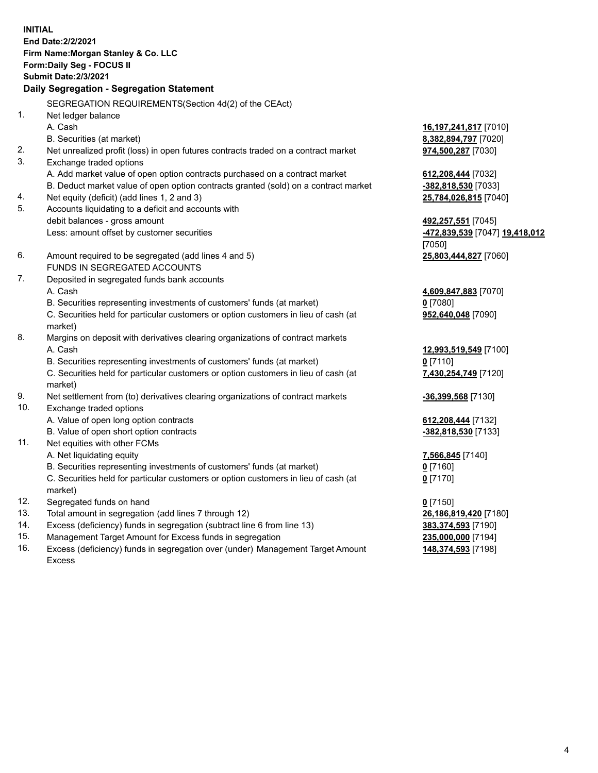**INITIAL End Date:2/2/2021 Firm Name:Morgan Stanley & Co. LLC Form:Daily Seg - FOCUS II Submit Date:2/3/2021 Daily Segregation - Segregation Statement** SEGREGATION REQUIREMENTS(Section 4d(2) of the CEAct) 1. Net ledger balance A. Cash **16,197,241,817** [7010] B. Securities (at market) **8,382,894,797** [7020] 2. Net unrealized profit (loss) in open futures contracts traded on a contract market **974,500,287** [7030] 3. Exchange traded options A. Add market value of open option contracts purchased on a contract market **612,208,444** [7032] B. Deduct market value of open option contracts granted (sold) on a contract market **-382,818,530** [7033] 4. Net equity (deficit) (add lines 1, 2 and 3) **25,784,026,815** [7040] 5. Accounts liquidating to a deficit and accounts with debit balances - gross amount **492,257,551** [7045] Less: amount offset by customer securities **-472,839,539** [7047] **19,418,012** [7050] 6. Amount required to be segregated (add lines 4 and 5) **25,803,444,827** [7060] FUNDS IN SEGREGATED ACCOUNTS 7. Deposited in segregated funds bank accounts A. Cash **4,609,847,883** [7070] B. Securities representing investments of customers' funds (at market) **0** [7080] C. Securities held for particular customers or option customers in lieu of cash (at market) **952,640,048** [7090] 8. Margins on deposit with derivatives clearing organizations of contract markets A. Cash **12,993,519,549** [7100] B. Securities representing investments of customers' funds (at market) **0** [7110] C. Securities held for particular customers or option customers in lieu of cash (at market) **7,430,254,749** [7120] 9. Net settlement from (to) derivatives clearing organizations of contract markets **-36,399,568** [7130] 10. Exchange traded options A. Value of open long option contracts **612,208,444** [7132] B. Value of open short option contracts **-382,818,530** [7133] 11. Net equities with other FCMs A. Net liquidating equity **7,566,845** [7140] B. Securities representing investments of customers' funds (at market) **0** [7160] C. Securities held for particular customers or option customers in lieu of cash (at market) **0** [7170] 12. Segregated funds on hand **0** [7150] 13. Total amount in segregation (add lines 7 through 12) **26,186,819,420** [7180] 14. Excess (deficiency) funds in segregation (subtract line 6 from line 13) **383,374,593** [7190]

- 15. Management Target Amount for Excess funds in segregation **235,000,000** [7194]
- 16. Excess (deficiency) funds in segregation over (under) Management Target Amount Excess

**148,374,593** [7198]